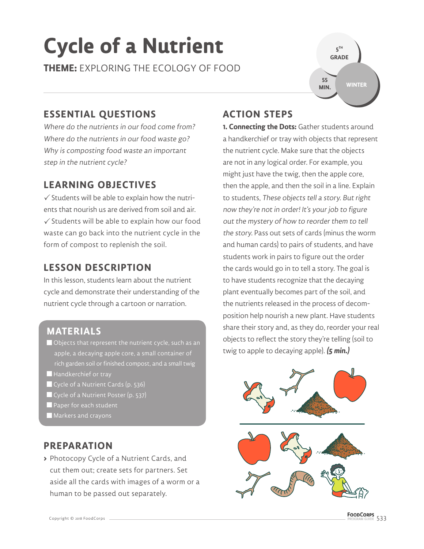# **Cycle of a Nutrient**

**THEME:** EXPLORING THE ECOLOGY OF FOOD

**5 TH GRADE WINTER 55 MIN.**

### **ESSENTIAL QUESTIONS**

Where do the nutrients in our food come from? Where do the nutrients in our food waste go? Why is composting food waste an important step in the nutrient cycle?

### **LEARNING OBJECTIVES**

 $\checkmark$  Students will be able to explain how the nutrients that nourish us are derived from soil and air.  $\checkmark$  Students will be able to explain how our food waste can go back into the nutrient cycle in the form of compost to replenish the soil.

## **LESSON DESCRIPTION**

In this lesson, students learn about the nutrient cycle and demonstrate their understanding of the nutrient cycle through a cartoon or narration.

### **MATERIALS**

- Objects that represent the nutrient cycle, such as an apple, a decaying apple core, a small container of rich garden soil or finished compost, and a small twig
- Handkerchief or tray
- Cycle of a Nutrient Cards (p. 536)
- Cycle of a Nutrient Poster (p. 537)
- Paper for each student
- **Markers and crayons**

#### **PREPARATION**

**>** Photocopy Cycle of a Nutrient Cards, and cut them out; create sets for partners. Set aside all the cards with images of a worm or a human to be passed out separately.

#### **ACTION STEPS**

**1. Connecting the Dots:** Gather students around a handkerchief or tray with objects that represent the nutrient cycle. Make sure that the objects are not in any logical order. For example, you might just have the twig, then the apple core, then the apple, and then the soil in a line. Explain to students, These objects tell a story. But right now they're not in order! It's your job to figure out the mystery of how to reorder them to tell the story. Pass out sets of cards (minus the worm and human cards) to pairs of students, and have students work in pairs to figure out the order the cards would go in to tell a story. The goal is to have students recognize that the decaying plant eventually becomes part of the soil, and the nutrients released in the process of decomposition help nourish a new plant. Have students share their story and, as they do, reorder your real objects to reflect the story they're telling (soil to twig to apple to decaying apple). **(5 min.)**

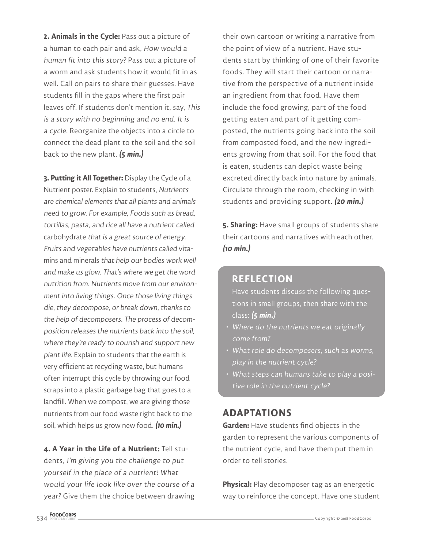**2. Animals in the Cycle:** Pass out a picture of a human to each pair and ask, How would a human fit into this story? Pass out a picture of a worm and ask students how it would fit in as well. Call on pairs to share their guesses. Have students fill in the gaps where the first pair leaves off. If students don't mention it, say, This is a story with no beginning and no end. It is a cycle. Reorganize the objects into a circle to connect the dead plant to the soil and the soil back to the new plant. **(5 min.)**

**3. Putting it All Together:** Display the Cycle of a Nutrient poster. Explain to students, Nutrients are chemical elements that all plants and animals need to grow. For example, Foods such as bread, tortillas, pasta, and rice all have a nutrient called carbohydrate that is a great source of energy. Fruits and vegetables have nutrients called vitamins and minerals that help our bodies work well and make us glow. That's where we get the word nutrition from. Nutrients move from our environment into living things. Once those living things die, they decompose, or break down, thanks to the help of decomposers. The process of decomposition releases the nutrients back into the soil, where they're ready to nourish and support new plant life. Explain to students that the earth is very efficient at recycling waste, but humans often interrupt this cycle by throwing our food scraps into a plastic garbage bag that goes to a landfill. When we compost, we are giving those nutrients from our food waste right back to the soil, which helps us grow new food. **(10 min.)**

**4. A Year in the Life of a Nutrient:** Tell students, I'm giving you the challenge to put yourself in the place of a nutrient! What would your life look like over the course of a year? Give them the choice between drawing

their own cartoon or writing a narrative from the point of view of a nutrient. Have students start by thinking of one of their favorite foods. They will start their cartoon or narrative from the perspective of a nutrient inside an ingredient from that food. Have them include the food growing, part of the food getting eaten and part of it getting composted, the nutrients going back into the soil from composted food, and the new ingredients growing from that soil. For the food that is eaten, students can depict waste being excreted directly back into nature by animals. Circulate through the room, checking in with students and providing support. **(20 min.)**

**5. Sharing:** Have small groups of students share their cartoons and narratives with each other. **(10 min.)**

#### **REFLECTION**

Have students discuss the following questions in small groups, then share with the class: **(5 min.)**

- Where do the nutrients we eat originally come from?
- What role do decomposers, such as worms, play in the nutrient cycle?
- What steps can humans take to play a positive role in the nutrient cycle?

#### **ADAPTATIONS**

**Garden:** Have students find objects in the garden to represent the various components of the nutrient cycle, and have them put them in order to tell stories.

**Physical:** Play decomposer tag as an energetic way to reinforce the concept. Have one student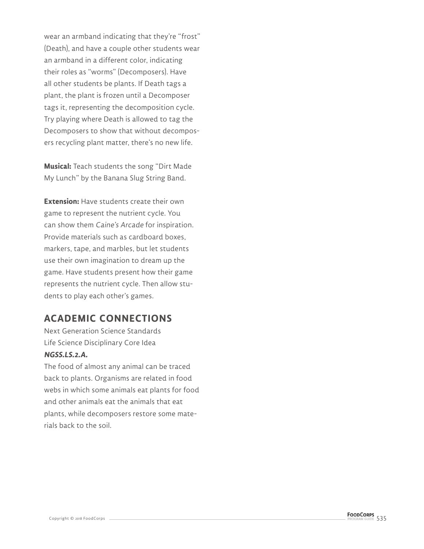wear an armband indicating that they're "frost" (Death), and have a couple other students wear an armband in a different color, indicating their roles as "worms" (Decomposers). Have all other students be plants. If Death tags a plant, the plant is frozen until a Decomposer tags it, representing the decomposition cycle. Try playing where Death is allowed to tag the Decomposers to show that without decomposers recycling plant matter, there's no new life.

**Musical:** Teach students the song "Dirt Made My Lunch" by the Banana Slug String Band.

**Extension:** Have students create their own game to represent the nutrient cycle. You can show them Caine's Arcade for inspiration. Provide materials such as cardboard boxes, markers, tape, and marbles, but let students use their own imagination to dream up the game. Have students present how their game represents the nutrient cycle. Then allow students to play each other's games.

#### **ACADEMIC CONNECTIONS**

Next Generation Science Standards Life Science Disciplinary Core Idea **NGSS.LS.2.A.**

The food of almost any animal can be traced back to plants. Organisms are related in food webs in which some animals eat plants for food and other animals eat the animals that eat plants, while decomposers restore some materials back to the soil.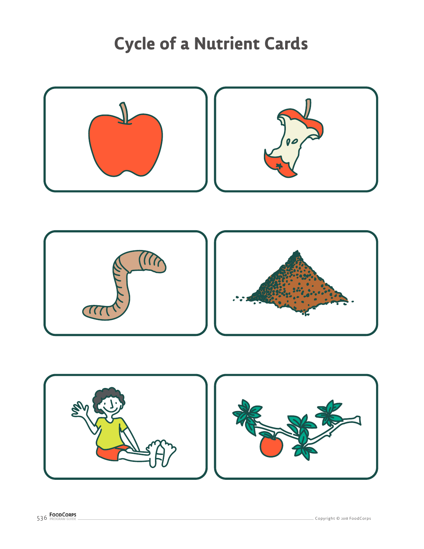# **Cycle of a Nutrient Cards**